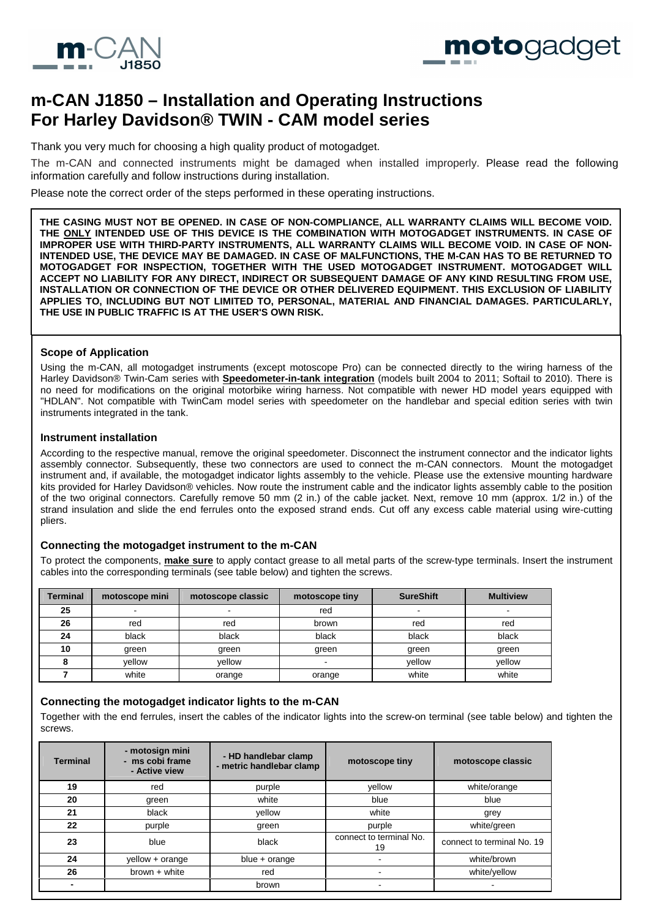



# **m-CAN J1850 – Installation and Operating Instructions For Harley Davidson® TWIN - CAM model series**

Thank you very much for choosing a high quality product of motogadget.

The m-CAN and connected instruments might be damaged when installed improperly. Please read the following information carefully and follow instructions during installation.

Please note the correct order of the steps performed in these operating instructions.

**THE CASING MUST NOT BE OPENED. IN CASE OF NON-COMPLIANCE, ALL WARRANTY CLAIMS WILL BECOME VOID. THE ONLY INTENDED USE OF THIS DEVICE IS THE COMBINATION WITH MOTOGADGET INSTRUMENTS. IN CASE OF IMPROPER USE WITH THIRD-PARTY INSTRUMENTS, ALL WARRANTY CLAIMS WILL BECOME VOID. IN CASE OF NON-INTENDED USE, THE DEVICE MAY BE DAMAGED. IN CASE OF MALFUNCTIONS, THE M-CAN HAS TO BE RETURNED TO MOTOGADGET FOR INSPECTION, TOGETHER WITH THE USED MOTOGADGET INSTRUMENT. MOTOGADGET WILL ACCEPT NO LIABILITY FOR ANY DIRECT, INDIRECT OR SUBSEQUENT DAMAGE OF ANY KIND RESULTING FROM USE, INSTALLATION OR CONNECTION OF THE DEVICE OR OTHER DELIVERED EQUIPMENT. THIS EXCLUSION OF LIABILITY APPLIES TO, INCLUDING BUT NOT LIMITED TO, PERSONAL, MATERIAL AND FINANCIAL DAMAGES. PARTICULARLY, THE USE IN PUBLIC TRAFFIC IS AT THE USER'S OWN RISK.** 

## **Scope of Application**

Using the m-CAN, all motogadget instruments (except motoscope Pro) can be connected directly to the wiring harness of the Harley Davidson® Twin-Cam series with **Speedometer-in-tank integration** (models built 2004 to 2011; Softail to 2010). There is no need for modifications on the original motorbike wiring harness. Not compatible with newer HD model years equipped with "HDLAN". Not compatible with TwinCam model series with speedometer on the handlebar and special edition series with twin instruments integrated in the tank.

## **Instrument installation**

According to the respective manual, remove the original speedometer. Disconnect the instrument connector and the indicator lights assembly connector. Subsequently, these two connectors are used to connect the m-CAN connectors. Mount the motogadget instrument and, if available, the motogadget indicator lights assembly to the vehicle. Please use the extensive mounting hardware kits provided for Harley Davidson® vehicles. Now route the instrument cable and the indicator lights assembly cable to the position of the two original connectors. Carefully remove 50 mm (2 in.) of the cable jacket. Next, remove 10 mm (approx. 1/2 in.) of the strand insulation and slide the end ferrules onto the exposed strand ends. Cut off any excess cable material using wire-cutting pliers.

# **Connecting the motogadget instrument to the m-CAN**

To protect the components, **make sure** to apply contact grease to all metal parts of the screw-type terminals. Insert the instrument cables into the corresponding terminals (see table below) and tighten the screws.

| Terminal | motoscope mini | motoscope classic | motoscope tiny | <b>SureShift</b> | <b>Multiview</b> |
|----------|----------------|-------------------|----------------|------------------|------------------|
| 25       |                |                   | red            | -                |                  |
| 26       | red            | red               | brown          | red              | red              |
| 24       | black          | black             | black          | black            | black            |
| 10       | green          | green             | green          | green            | green            |
|          | vellow         | vellow            |                | vellow           | vellow           |
|          | white          | orange            | orange         | white            | white            |

# **Connecting the motogadget indicator lights to the m-CAN**

Together with the end ferrules, insert the cables of the indicator lights into the screw-on terminal (see table below) and tighten the screws.

| <b>Terminal</b> | - motosign mini<br>- ms cobi frame<br>- Active view | - HD handlebar clamp<br>- metric handlebar clamp | motoscope tiny                | motoscope classic          |
|-----------------|-----------------------------------------------------|--------------------------------------------------|-------------------------------|----------------------------|
| 19              | red                                                 | purple                                           | yellow                        | white/orange               |
| 20              | green                                               | white                                            | blue                          | blue                       |
| 21              | black                                               | yellow                                           | white                         | grey                       |
| 22              | purple                                              | green                                            | purple                        | white/green                |
| 23              | blue                                                | black                                            | connect to terminal No.<br>19 | connect to terminal No. 19 |
| 24              | yellow + orange                                     | $blue + orange$                                  |                               | white/brown                |
| 26              | $brown + white$                                     | red                                              | -                             | white/yellow               |
|                 |                                                     | brown                                            |                               |                            |